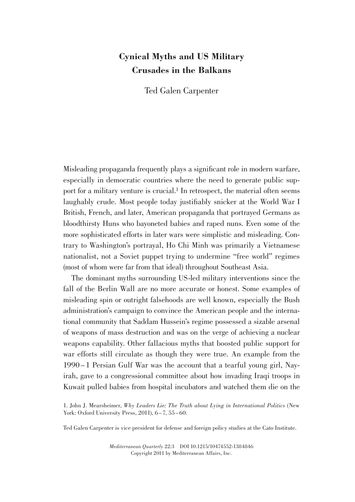## **Cynical Myths and US Military Crusades in the Balkans**

Ted Galen Carpenter

Misleading propaganda frequently plays a significant role in modern warfare, especially in democratic countries where the need to generate public support for a military venture is crucial.<sup>1</sup> In retrospect, the material often seems laughably crude. Most people today justifiably snicker at the World War I British, French, and later, American propaganda that portrayed Germans as bloodthirsty Huns who bayoneted babies and raped nuns. Even some of the more sophisticated efforts in later wars were simplistic and misleading. Contrary to Washington's portrayal, Ho Chi Minh was primarily a Vietnamese nationalist, not a Soviet puppet trying to undermine "free world" regimes (most of whom were far from that ideal) throughout Southeast Asia.

The dominant myths surrounding US-led military interventions since the fall of the Berlin Wall are no more accurate or honest. Some examples of misleading spin or outright falsehoods are well known, especially the Bush administration's campaign to convince the American people and the international community that Saddam Hussein's regime possessed a sizable arsenal of weapons of mass destruction and was on the verge of achieving a nuclear weapons capability. Other fallacious myths that boosted public support for war efforts still circulate as though they were true. An example from the 1990 – 1 Persian Gulf War was the account that a tearful young girl, Nayirah, gave to a congressional committee about how invading Iraqi troops in Kuwait pulled babies from hospital incubators and watched them die on the

Ted Galen Carpenter is vice president for defense and foreign policy studies at the Cato Institute.

*Mediterranean Quarterly* 22:3 DOI 10.1215/10474552-1384846 Copyright 2011 by Mediterranean Affairs, Inc.

<sup>1.</sup> John J. Mearsheimer, *Why Leaders Lie: The Truth about Lying in International Politics* (New York: Oxford University Press, 2011), 6-7, 55-60.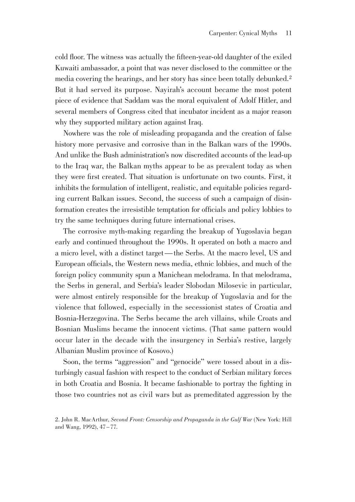cold floor. The witness was actually the fifteen-year-old daughter of the exiled Kuwaiti ambassador, a point that was never disclosed to the committee or the media covering the hearings, and her story has since been totally debunked.2 But it had served its purpose. Nayirah's account became the most potent piece of evidence that Saddam was the moral equivalent of Adolf Hitler, and several members of Congress cited that incubator incident as a major reason why they supported military action against Iraq.

Nowhere was the role of misleading propaganda and the creation of false history more pervasive and corrosive than in the Balkan wars of the 1990s. And unlike the Bush administration's now discredited accounts of the lead-up to the Iraq war, the Balkan myths appear to be as prevalent today as when they were first created. That situation is unfortunate on two counts. First, it inhibits the formulation of intelligent, realistic, and equitable policies regarding current Balkan issues. Second, the success of such a campaign of disinformation creates the irresistible temptation for officials and policy lobbies to try the same techniques during future international crises.

The corrosive myth-making regarding the breakup of Yugoslavia began early and continued throughout the 1990s. It operated on both a macro and a micro level, with a distinct target—the Serbs. At the macro level, US and European officials, the Western news media, ethnic lobbies, and much of the foreign policy community spun a Manichean melodrama. In that melodrama, the Serbs in general, and Serbia's leader Slobodan Milosevic in particular, were almost entirely responsible for the breakup of Yugoslavia and for the violence that followed, especially in the secessionist states of Croatia and Bosnia-Herzegovina. The Serbs became the arch villains, while Croats and Bosnian Muslims became the innocent victims. (That same pattern would occur later in the decade with the insurgency in Serbia's restive, largely Albanian Muslim province of Kosovo.)

Soon, the terms "aggression" and "genocide" were tossed about in a disturbingly casual fashion with respect to the conduct of Serbian military forces in both Croatia and Bosnia. It became fashionable to portray the fighting in those two countries not as civil wars but as premeditated aggression by the

<sup>2.</sup> John R. MacArthur, *Second Front: Censorship and Propaganda in the Gulf War* (New York: Hill and Wang, 1992), 47 – 77.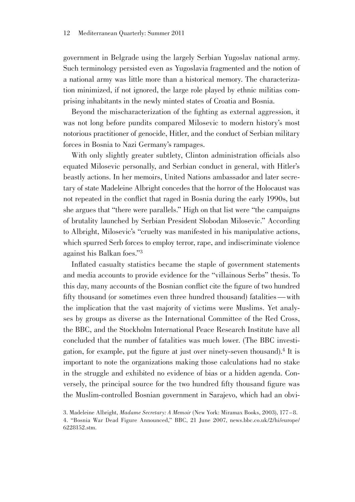government in Belgrade using the largely Serbian Yugoslav national army. Such terminology persisted even as Yugoslavia fragmented and the notion of a national army was little more than a historical memory. The characterization minimized, if not ignored, the large role played by ethnic militias comprising inhabitants in the newly minted states of Croatia and Bosnia.

Beyond the mischaracterization of the fighting as external aggression, it was not long before pundits compared Milosevic to modern history's most notorious practitioner of genocide, Hitler, and the conduct of Serbian military forces in Bosnia to Nazi Germany's rampages.

With only slightly greater subtlety, Clinton administration officials also equated Milosevic personally, and Serbian conduct in general, with Hitler's beastly actions. In her memoirs, United Nations ambassador and later secretary of state Madeleine Albright concedes that the horror of the Holocaust was not repeated in the conflict that raged in Bosnia during the early 1990s, but she argues that "there were parallels." High on that list were "the campaigns of brutality launched by Serbian President Slobodan Milosevic." According to Albright, Milosevic's "cruelty was manifested in his manipulative actions, which spurred Serb forces to employ terror, rape, and indiscriminate violence against his Balkan foes."3

Inflated casualty statistics became the staple of government statements and media accounts to provide evidence for the "villainous Serbs" thesis. To this day, many accounts of the Bosnian conflict cite the figure of two hundred fifty thousand (or sometimes even three hundred thousand) fatalities—with the implication that the vast majority of victims were Muslims. Yet analyses by groups as diverse as the International Committee of the Red Cross, the BBC, and the Stockholm International Peace Research Institute have all concluded that the number of fatalities was much lower. (The BBC investigation, for example, put the figure at just over ninety-seven thousand).4 It is important to note the organizations making those calculations had no stake in the struggle and exhibited no evidence of bias or a hidden agenda. Conversely, the principal source for the two hundred fifty thousand figure was the Muslim-controlled Bosnian government in Sarajevo, which had an obvi-

<sup>3.</sup> Madeleine Albright, *Madame Secretary: A Memoir* (New York: Miramax Books, 2003), 177 – 8. 4. "Bosnia War Dead Figure Announced," BBC, 21 June 2007, news.bbc.co.uk/2/hi/europe/ 6228152.stm.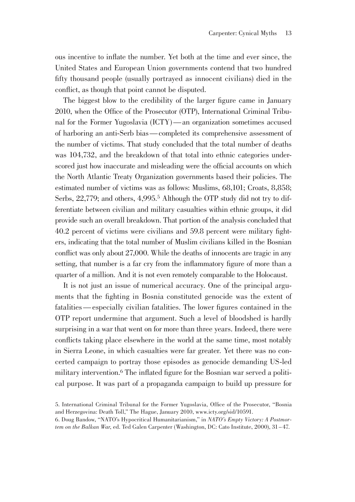ous incentive to inflate the number. Yet both at the time and ever since, the United States and European Union governments contend that two hundred fifty thousand people (usually portrayed as innocent civilians) died in the conflict, as though that point cannot be disputed.

The biggest blow to the credibility of the larger figure came in January 2010, when the Office of the Prosecutor (OTP), International Criminal Tribunal for the Former Yugoslavia (ICTY)—an organization sometimes accused of harboring an anti-Serb bias—completed its comprehensive assessment of the number of victims. That study concluded that the total number of deaths was 104,732, and the breakdown of that total into ethnic categories underscored just how inaccurate and misleading were the official accounts on which the North Atlantic Treaty Organization governments based their policies. The estimated number of victims was as follows: Muslims, 68,101; Croats, 8,858; Serbs, 22,779; and others, 4,995.<sup>5</sup> Although the OTP study did not try to differentiate between civilian and military casualties within ethnic groups, it did provide such an overall breakdown. That portion of the analysis concluded that 40.2 percent of victims were civilians and 59.8 percent were military fighters, indicating that the total number of Muslim civilians killed in the Bosnian conflict was only about 27,000. While the deaths of innocents are tragic in any setting, that number is a far cry from the inflammatory figure of more than a quarter of a million. And it is not even remotely comparable to the Holocaust.

It is not just an issue of numerical accuracy. One of the principal arguments that the fighting in Bosnia constituted genocide was the extent of fatalities—especially civilian fatalities. The lower figures contained in the OTP report undermine that argument. Such a level of bloodshed is hardly surprising in a war that went on for more than three years. Indeed, there were conflicts taking place elsewhere in the world at the same time, most notably in Sierra Leone, in which casualties were far greater. Yet there was no concerted campaign to portray those episodes as genocide demanding US-led military intervention.6 The inflated figure for the Bosnian war served a political purpose. It was part of a propaganda campaign to build up pressure for

<sup>5.</sup> International Criminal Tribunal for the Former Yugoslavia, Office of the Prosecutor, "Bosnia and Herzegovina: Death Toll," The Hague, January 2010, www.icty.org/sid/10591.

<sup>6.</sup> Doug Bandow, "NATO's Hypocritical Humanitarianism," in *NATO's Empty Victory: A Postmortem on the Balkan War*, ed. Ted Galen Carpenter (Washington, DC: Cato Institute, 2000), 31–47.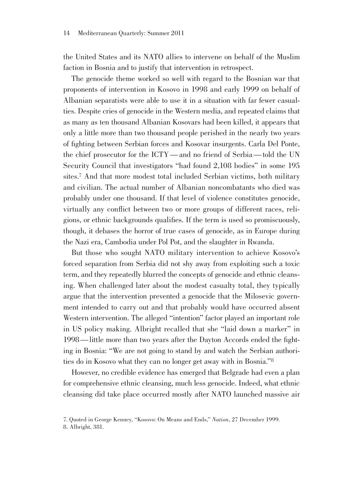the United States and its NATO allies to intervene on behalf of the Muslim faction in Bosnia and to justify that intervention in retrospect.

The genocide theme worked so well with regard to the Bosnian war that proponents of intervention in Kosovo in 1998 and early 1999 on behalf of Albanian separatists were able to use it in a situation with far fewer casualties. Despite cries of genocide in the Western media, and repeated claims that as many as ten thousand Albanian Kosovars had been killed, it appears that only a little more than two thousand people perished in the nearly two years of fighting between Serbian forces and Kosovar insurgents. Carla Del Ponte, the chief prosecutor for the ICTY—and no friend of Serbia—told the UN Security Council that investigators "had found 2,108 bodies" in some 195 sites.<sup>7</sup> And that more modest total included Serbian victims, both military and civilian. The actual number of Albanian noncombatants who died was probably under one thousand. If that level of violence constitutes genocide, virtually any conflict between two or more groups of different races, religions, or ethnic backgrounds qualifies. If the term is used so promiscuously, though, it debases the horror of true cases of genocide, as in Europe during the Nazi era, Cambodia under Pol Pot, and the slaughter in Rwanda.

But those who sought NATO military intervention to achieve Kosovo's forced separation from Serbia did not shy away from exploiting such a toxic term, and they repeatedly blurred the concepts of genocide and ethnic cleansing. When challenged later about the modest casualty total, they typically argue that the intervention prevented a genocide that the Milosevic government intended to carry out and that probably would have occurred absent Western intervention. The alleged "intention" factor played an important role in US policy making. Albright recalled that she "laid down a marker" in 1998—little more than two years after the Dayton Accords ended the fighting in Bosnia: "We are not going to stand by and watch the Serbian authorities do in Kosovo what they can no longer get away with in Bosnia."8

However, no credible evidence has emerged that Belgrade had even a plan for comprehensive ethnic cleansing, much less genocide. Indeed, what ethnic cleansing did take place occurred mostly after NATO launched massive air

<sup>7.</sup> Quoted in George Kenney, "Kosovo: On Means and Ends," *Nation*, 27 December 1999. 8. Albright, 381.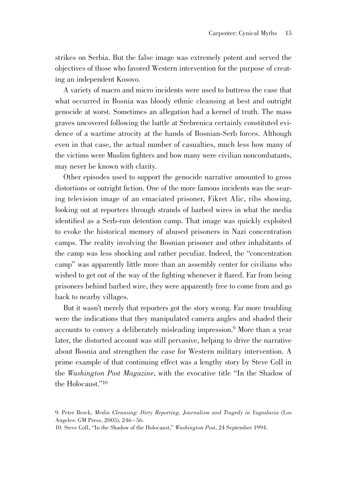strikes on Serbia. But the false image was extremely potent and served the objectives of those who favored Western intervention for the purpose of creating an independent Kosovo.

A variety of macro and micro incidents were used to buttress the case that what occurred in Bosnia was bloody ethnic cleansing at best and outright genocide at worst. Sometimes an allegation had a kernel of truth. The mass graves uncovered following the battle at Srebrenica certainly constituted evidence of a wartime atrocity at the hands of Bosnian-Serb forces. Although even in that case, the actual number of casualties, much less how many of the victims were Muslim fighters and how many were civilian noncombatants, may never be known with clarity.

Other episodes used to support the genocide narrative amounted to gross distortions or outright fiction. One of the more famous incidents was the searing television image of an emaciated prisoner, Fikret Alic, ribs showing, looking out at reporters through strands of barbed wires in what the media identified as a Serb-run detention camp. That image was quickly exploited to evoke the historical memory of abused prisoners in Nazi concentration camps. The reality involving the Bosnian prisoner and other inhabitants of the camp was less shocking and rather peculiar. Indeed, the "concentration camp" was apparently little more than an assembly center for civilians who wished to get out of the way of the fighting whenever it flared. Far from being prisoners behind barbed wire, they were apparently free to come from and go back to nearby villages.

But it wasn't merely that reporters got the story wrong. Far more troubling were the indications that they manipulated camera angles and shaded their accounts to convey a deliberately misleading impression.9 More than a year later, the distorted account was still pervasive, helping to drive the narrative about Bosnia and strengthen the case for Western military intervention. A prime example of that continuing effect was a lengthy story by Steve Coll in the *Washington Post Magazine*, with the evocative title "In the Shadow of the Holocaust."10

<sup>9.</sup> Peter Brock, *Media Cleansing: Dirty Reporting, Journalism and Tragedy in Yugoslavia* (Los Angeles: GM Press, 2005), 246 – 56.

<sup>10.</sup> Steve Coll, "In the Shadow of the Holocaust," *Washington Post*, 24 September 1994.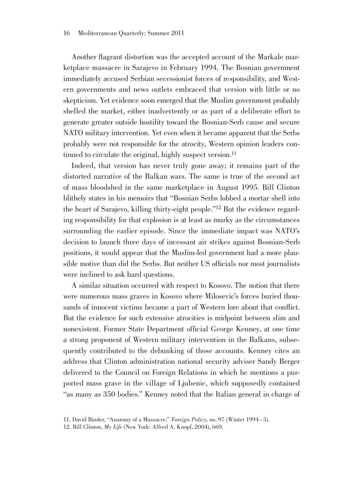Another flagrant distortion was the accepted account of the Markale marketplace massacre in Sarajevo in February 1994. The Bosnian government immediately accused Serbian secessionist forces of responsibility, and Western governments and news outlets embraced that version with little or no skepticism. Yet evidence soon emerged that the Muslim government probably shelled the market, either inadvertently or as part of a deliberate effort to generate greater outside hostility toward the Bosnian-Serb cause and secure NATO military intervention. Yet even when it became apparent that the Serbs probably were not responsible for the atrocity, Western opinion leaders continued to circulate the original, highly suspect version.<sup>11</sup>

Indeed, that version has never truly gone away; it remains part of the distorted narrative of the Balkan wars. The same is true of the second act of mass bloodshed in the same marketplace in August 1995. Bill Clinton blithely states in his memoirs that "Bosnian Serbs lobbed a mortar shell into the heart of Sarajevo, killing thirty-eight people."12 But the evidence regarding responsibility for that explosion is at least as murky as the circumstances surrounding the earlier episode. Since the immediate impact was NATO's decision to launch three days of incessant air strikes against Bosnian-Serb positions, it would appear that the Muslim-led government had a more plausible motive than did the Serbs. But neither US officials nor most journalists were inclined to ask hard questions.

A similar situation occurred with respect to Kosovo. The notion that there were numerous mass graves in Kosovo where Milosevic's forces buried thousands of innocent victims became a part of Western lore about that conflict. But the evidence for such extensive atrocities is midpoint between slim and nonexistent. Former State Department official George Kenney, at one time a strong proponent of Western military intervention in the Balkans, subsequently contributed to the debunking of those accounts. Kenney cites an address that Clinton administration national security adviser Sandy Berger delivered to the Council on Foreign Relations in which he mentions a purported mass grave in the village of Ljubenic, which supposedly contained "as many as 350 bodies." Kenney noted that the Italian general in charge of

<sup>11.</sup> David Binder, "Anatomy of a Massacre," *Foreign Policy*, no. 97 (Winter 1994 – 5).

<sup>12.</sup> Bill Clinton, *My Life* (New York: Alfred A. Knopf, 2004), 669.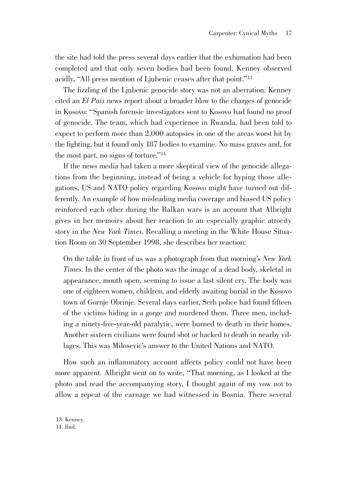the site had told the press several days earlier that the exhumation had been completed and that only seven bodies had been found. Kenney observed acidly, "All press mention of Ljubenic ceases after that point."13

The fizzling of the Ljubenic genocide story was not an aberration. Kenney cited an *El Pais* news report about a broader blow to the charges of genocide in Kosovo: "Spanish forensic investigators sent to Kosovo had found no proof of genocide. The team, which had experience in Rwanda, had been told to expect to perform more than 2,000 autopsies in one of the areas worst hit by the fighting, but it found only 187 bodies to examine. No mass graves and, for the most part, no signs of torture."14

If the news media had taken a more skeptical view of the genocide allegations from the beginning, instead of being a vehicle for hyping those allegations, US and NATO policy regarding Kosovo might have turned out differently. An example of how misleading media coverage and biased US policy reinforced each other during the Balkan wars is an account that Albright gives in her memoirs about her reaction to an especially graphic atrocity story in the *New York Times*. Recalling a meeting in the White House Situation Room on 30 September 1998, she describes her reaction:

On the table in front of us was a photograph from that morning's *New York Times*. In the center of the photo was the image of a dead body, skeletal in appearance, mouth open, seeming to issue a last silent cry. The body was one of eighteen women, children, and elderly awaiting burial in the Kosovo town of Gornje Obrinje. Several days earlier, Serb police had found fifteen of the victims hiding in a gorge and murdered them. Three men, including a ninety-five-year-old paralytic, were burned to death in their homes. Another sixteen civilians were found shot or hacked to death in nearby villages. This was Milosevic's answer to the United Nations and NATO.

How such an inflammatory account affects policy could not have been more apparent. Albright went on to write, "That morning, as I looked at the photo and read the accompanying story, I thought again of my vow not to allow a repeat of the carnage we had witnessed in Bosnia. There several

13. Kenney. 14. Ibid.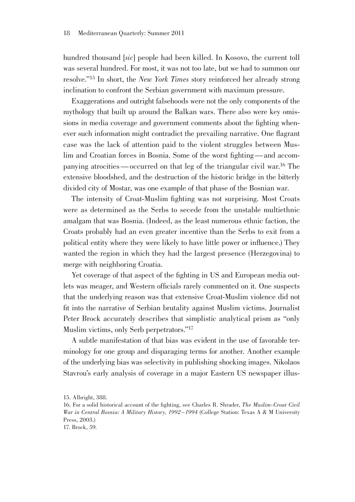hundred thousand [*sic*] people had been killed. In Kosovo, the current toll was several hundred. For most, it was not too late, but we had to summon our resolve."15 In short, the *New York Times* story reinforced her already strong inclination to confront the Serbian government with maximum pressure.

Exaggerations and outright falsehoods were not the only components of the mythology that built up around the Balkan wars. There also were key omissions in media coverage and government comments about the fighting whenever such information might contradict the prevailing narrative. One flagrant case was the lack of attention paid to the violent struggles between Muslim and Croatian forces in Bosnia. Some of the worst fighting—and accompanying atrocities—occurred on that leg of the triangular civil war.16 The extensive bloodshed, and the destruction of the historic bridge in the bitterly divided city of Mostar, was one example of that phase of the Bosnian war.

The intensity of Croat-Muslim fighting was not surprising. Most Croats were as determined as the Serbs to secede from the unstable multiethnic amalgam that was Bosnia. (Indeed, as the least numerous ethnic faction, the Croats probably had an even greater incentive than the Serbs to exit from a political entity where they were likely to have little power or influence.) They wanted the region in which they had the largest presence (Herzegovina) to merge with neighboring Croatia.

Yet coverage of that aspect of the fighting in US and European media outlets was meager, and Western officials rarely commented on it. One suspects that the underlying reason was that extensive Croat-Muslim violence did not fit into the narrative of Serbian brutality against Muslim victims. Journalist Peter Brock accurately describes that simplistic analytical prism as "only Muslim victims, only Serb perpetrators."17

A subtle manifestation of that bias was evident in the use of favorable terminology for one group and disparaging terms for another. Another example of the underlying bias was selectivity in publishing shocking images. Nikolaos Stavrou's early analysis of coverage in a major Eastern US newspaper illus-

<sup>15.</sup> Albright, 388.

<sup>16.</sup> For a solid historical account of the fighting, see Charles R. Shrader, *The Muslim-Croat Civil War in Central Bosnia: A Military History, 1992–1994* (College Station: Texas A & M University Press, 2003.) 17. Brock, 59.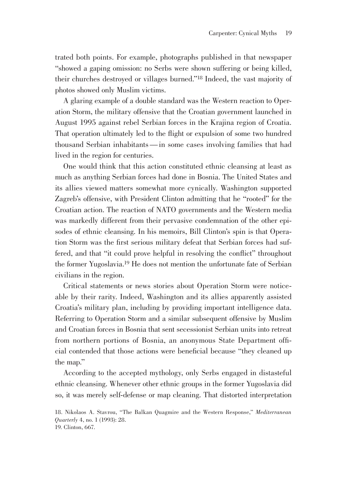trated both points. For example, photographs published in that newspaper "showed a gaping omission: no Serbs were shown suffering or being killed, their churches destroyed or villages burned."18 Indeed, the vast majority of photos showed only Muslim victims.

A glaring example of a double standard was the Western reaction to Operation Storm, the military offensive that the Croatian government launched in August 1995 against rebel Serbian forces in the Krajina region of Croatia. That operation ultimately led to the flight or expulsion of some two hundred thousand Serbian inhabitants—in some cases involving families that had lived in the region for centuries.

One would think that this action constituted ethnic cleansing at least as much as anything Serbian forces had done in Bosnia. The United States and its allies viewed matters somewhat more cynically. Washington supported Zagreb's offensive, with President Clinton admitting that he "rooted" for the Croatian action. The reaction of NATO governments and the Western media was markedly different from their pervasive condemnation of the other episodes of ethnic cleansing. In his memoirs, Bill Clinton's spin is that Operation Storm was the first serious military defeat that Serbian forces had suffered, and that "it could prove helpful in resolving the conflict" throughout the former Yugoslavia.19 He does not mention the unfortunate fate of Serbian civilians in the region.

Critical statements or news stories about Operation Storm were noticeable by their rarity. Indeed, Washington and its allies apparently assisted Croatia's military plan, including by providing important intelligence data. Referring to Operation Storm and a similar subsequent offensive by Muslim and Croatian forces in Bosnia that sent secessionist Serbian units into retreat from northern portions of Bosnia, an anonymous State Department official contended that those actions were beneficial because "they cleaned up the map."

According to the accepted mythology, only Serbs engaged in distasteful ethnic cleansing. Whenever other ethnic groups in the former Yugoslavia did so, it was merely self-defense or map cleaning. That distorted interpretation

<sup>18.</sup> Nikolaos A. Stavrou, "The Balkan Quagmire and the Western Response," *Mediterranean Quarterly* 4, no. 1 (1993): 28. 19. Clinton, 667.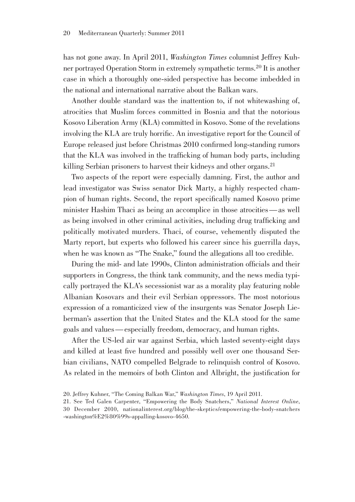has not gone away. In April 2011, *Washington Times* columnist Jeffrey Kuhner portrayed Operation Storm in extremely sympathetic terms.20 It is another case in which a thoroughly one-sided perspective has become imbedded in the national and international narrative about the Balkan wars.

Another double standard was the inattention to, if not whitewashing of, atrocities that Muslim forces committed in Bosnia and that the notorious Kosovo Liberation Army (KLA) committed in Kosovo. Some of the revelations involving the KLA are truly horrific. An investigative report for the Council of Europe released just before Christmas 2010 confirmed long-standing rumors that the KLA was involved in the trafficking of human body parts, including killing Serbian prisoners to harvest their kidneys and other organs.21

Two aspects of the report were especially damning. First, the author and lead investigator was Swiss senator Dick Marty, a highly respected champion of human rights. Second, the report specifically named Kosovo prime minister Hashim Thaci as being an accomplice in those atrocities—as well as being involved in other criminal activities, including drug trafficking and politically motivated murders. Thaci, of course, vehemently disputed the Marty report, but experts who followed his career since his guerrilla days, when he was known as "The Snake," found the allegations all too credible.

During the mid- and late 1990s, Clinton administration officials and their supporters in Congress, the think tank community, and the news media typically portrayed the KLA's secessionist war as a morality play featuring noble Albanian Kosovars and their evil Serbian oppressors. The most notorious expression of a romanticized view of the insurgents was Senator Joseph Lieberman's assertion that the United States and the KLA stood for the same goals and values—especially freedom, democracy, and human rights.

After the US-led air war against Serbia, which lasted seventy-eight days and killed at least five hundred and possibly well over one thousand Serbian civilians, NATO compelled Belgrade to relinquish control of Kosovo. As related in the memoirs of both Clinton and Albright, the justification for

<sup>20.</sup> Jeffrey Kuhner, "The Coming Balkan War," *Washington Times*, 19 April 2011.

<sup>21.</sup> See Ted Galen Carpenter, "Empowering the Body Snatchers," *National Interest Online*, 30 December 2010, nationalinterest.org/blog/the-skeptics/empowering-the-body-snatchers -washington%E2%80%99s-appalling-kosovo-4650.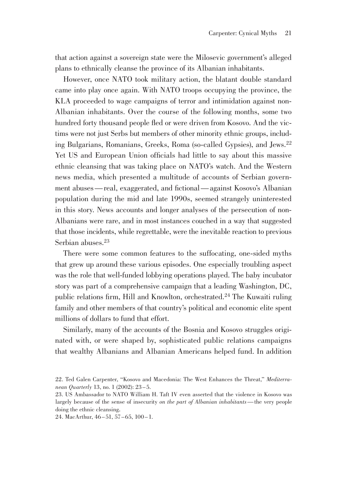that action against a sovereign state were the Milosevic government's alleged plans to ethnically cleanse the province of its Albanian inhabitants.

However, once NATO took military action, the blatant double standard came into play once again. With NATO troops occupying the province, the KLA proceeded to wage campaigns of terror and intimidation against non-Albanian inhabitants. Over the course of the following months, some two hundred forty thousand people fled or were driven from Kosovo. And the victims were not just Serbs but members of other minority ethnic groups, including Bulgarians, Romanians, Greeks, Roma (so-called Gypsies), and Jews.22 Yet US and European Union officials had little to say about this massive ethnic cleansing that was taking place on NATO's watch. And the Western news media, which presented a multitude of accounts of Serbian government abuses—real, exaggerated, and fictional—against Kosovo's Albanian population during the mid and late 1990s, seemed strangely uninterested in this story. News accounts and longer analyses of the persecution of non-Albanians were rare, and in most instances couched in a way that suggested that those incidents, while regrettable, were the inevitable reaction to previous Serbian abuses.23

There were some common features to the suffocating, one-sided myths that grew up around these various episodes. One especially troubling aspect was the role that well-funded lobbying operations played. The baby incubator story was part of a comprehensive campaign that a leading Washington, DC, public relations firm, Hill and Knowlton, orchestrated.24 The Kuwaiti ruling family and other members of that country's political and economic elite spent millions of dollars to fund that effort.

Similarly, many of the accounts of the Bosnia and Kosovo struggles originated with, or were shaped by, sophisticated public relations campaigns that wealthy Albanians and Albanian Americans helped fund. In addition

<sup>22.</sup> Ted Galen Carpenter, "Kosovo and Macedonia: The West Enhances the Threat," *Mediterranean Quarterly* 13, no. 1 (2002): 23 – 5.

<sup>23.</sup> US Ambassador to NATO William H. Taft IV even asserted that the violence in Kosovo was largely because of the sense of insecurity *on the part of Albanian inhabitants*—the very people doing the ethnic cleansing*.*

<sup>24.</sup> MacArthur, 46-51, 57-65, 100-1.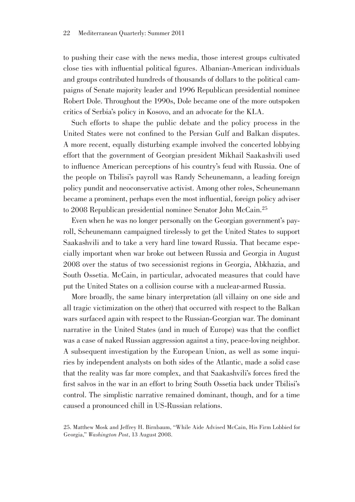to pushing their case with the news media, those interest groups cultivated close ties with influential political figures. Albanian-American individuals and groups contributed hundreds of thousands of dollars to the political campaigns of Senate majority leader and 1996 Republican presidential nominee Robert Dole. Throughout the 1990s, Dole became one of the more outspoken critics of Serbia's policy in Kosovo, and an advocate for the KLA.

Such efforts to shape the public debate and the policy process in the United States were not confined to the Persian Gulf and Balkan disputes. A more recent, equally disturbing example involved the concerted lobbying effort that the government of Georgian president Mikhail Saakashvili used to influence American perceptions of his country's feud with Russia. One of the people on Tbilisi's payroll was Randy Scheunemann, a leading foreign policy pundit and neoconservative activist. Among other roles, Scheunemann became a prominent, perhaps even the most influential, foreign policy adviser to 2008 Republican presidential nominee Senator John McCain.25

Even when he was no longer personally on the Georgian government's payroll, Scheunemann campaigned tirelessly to get the United States to support Saakashvili and to take a very hard line toward Russia. That became especially important when war broke out between Russia and Georgia in August 2008 over the status of two secessionist regions in Georgia, Abkhazia, and South Ossetia. McCain, in particular, advocated measures that could have put the United States on a collision course with a nuclear-armed Russia.

More broadly, the same binary interpretation (all villainy on one side and all tragic victimization on the other) that occurred with respect to the Balkan wars surfaced again with respect to the Russian-Georgian war. The dominant narrative in the United States (and in much of Europe) was that the conflict was a case of naked Russian aggression against a tiny, peace-loving neighbor. A subsequent investigation by the European Union, as well as some inquiries by independent analysts on both sides of the Atlantic, made a solid case that the reality was far more complex, and that Saakashvili's forces fired the first salvos in the war in an effort to bring South Ossetia back under Tbilisi's control. The simplistic narrative remained dominant, though, and for a time caused a pronounced chill in US-Russian relations.

<sup>25.</sup> Matthew Mosk and Jeffrey H. Birnbaum, "While Aide Advised McCain, His Firm Lobbied for Georgia," *Washington Post*, 13 August 2008.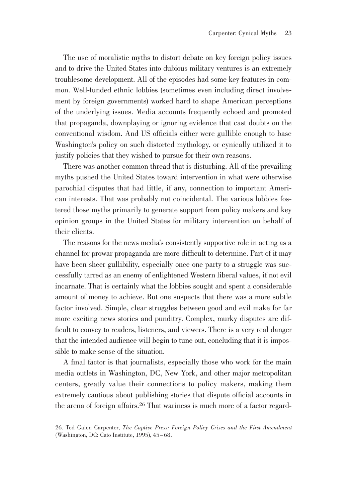The use of moralistic myths to distort debate on key foreign policy issues and to drive the United States into dubious military ventures is an extremely troublesome development. All of the episodes had some key features in common. Well-funded ethnic lobbies (sometimes even including direct involvement by foreign governments) worked hard to shape American perceptions of the underlying issues. Media accounts frequently echoed and promoted that propaganda, downplaying or ignoring evidence that cast doubts on the conventional wisdom. And US officials either were gullible enough to base Washington's policy on such distorted mythology, or cynically utilized it to justify policies that they wished to pursue for their own reasons.

There was another common thread that is disturbing. All of the prevailing myths pushed the United States toward intervention in what were otherwise parochial disputes that had little, if any, connection to important American interests. That was probably not coincidental. The various lobbies fostered those myths primarily to generate support from policy makers and key opinion groups in the United States for military intervention on behalf of their clients.

The reasons for the news media's consistently supportive role in acting as a channel for prowar propaganda are more difficult to determine. Part of it may have been sheer gullibility, especially once one party to a struggle was successfully tarred as an enemy of enlightened Western liberal values, if not evil incarnate. That is certainly what the lobbies sought and spent a considerable amount of money to achieve. But one suspects that there was a more subtle factor involved. Simple, clear struggles between good and evil make for far more exciting news stories and punditry. Complex, murky disputes are difficult to convey to readers, listeners, and viewers. There is a very real danger that the intended audience will begin to tune out, concluding that it is impossible to make sense of the situation.

A final factor is that journalists, especially those who work for the main media outlets in Washington, DC, New York, and other major metropolitan centers, greatly value their connections to policy makers, making them extremely cautious about publishing stories that dispute official accounts in the arena of foreign affairs.<sup>26</sup> That wariness is much more of a factor regard-

<sup>26.</sup> Ted Galen Carpenter, *The Captive Press: Foreign Policy Crises and the First Amendment* (Washington, DC: Cato Institute, 1995), 45 – 68.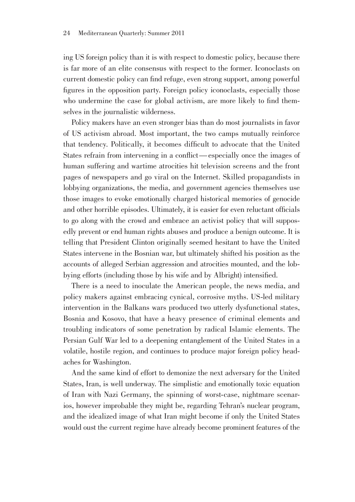ing US foreign policy than it is with respect to domestic policy, because there is far more of an elite consensus with respect to the former. Iconoclasts on current domestic policy can find refuge, even strong support, among powerful figures in the opposition party. Foreign policy iconoclasts, especially those who undermine the case for global activism, are more likely to find themselves in the journalistic wilderness.

Policy makers have an even stronger bias than do most journalists in favor of US activism abroad. Most important, the two camps mutually reinforce that tendency. Politically, it becomes difficult to advocate that the United States refrain from intervening in a conflict—especially once the images of human suffering and wartime atrocities hit television screens and the front pages of newspapers and go viral on the Internet. Skilled propagandists in lobbying organizations, the media, and government agencies themselves use those images to evoke emotionally charged historical memories of genocide and other horrible episodes. Ultimately, it is easier for even reluctant officials to go along with the crowd and embrace an activist policy that will supposedly prevent or end human rights abuses and produce a benign outcome. It is telling that President Clinton originally seemed hesitant to have the United States intervene in the Bosnian war, but ultimately shifted his position as the accounts of alleged Serbian aggression and atrocities mounted, and the lobbying efforts (including those by his wife and by Albright) intensified.

There is a need to inoculate the American people, the news media, and policy makers against embracing cynical, corrosive myths. US-led military intervention in the Balkans wars produced two utterly dysfunctional states, Bosnia and Kosovo, that have a heavy presence of criminal elements and troubling indicators of some penetration by radical Islamic elements. The Persian Gulf War led to a deepening entanglement of the United States in a volatile, hostile region, and continues to produce major foreign policy headaches for Washington.

And the same kind of effort to demonize the next adversary for the United States, Iran, is well underway. The simplistic and emotionally toxic equation of Iran with Nazi Germany, the spinning of worst-case, nightmare scenarios, however improbable they might be, regarding Tehran's nuclear program, and the idealized image of what Iran might become if only the United States would oust the current regime have already become prominent features of the